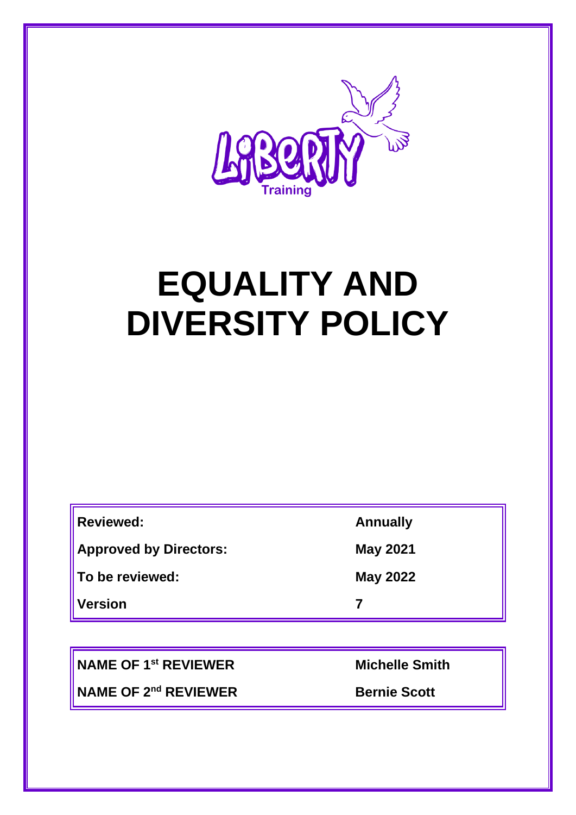

# **EQUALITY AND DIVERSITY POLICY**

| <b>Reviewed:</b>              | <b>Annually</b> |
|-------------------------------|-----------------|
| <b>Approved by Directors:</b> | <b>May 2021</b> |
| To be reviewed:               | <b>May 2022</b> |
| <b>Version</b>                |                 |

**NAME OF 1st REVIEWER Michelle Smith**

**NAME OF 2<sup>nd</sup> REVIEWER Bernie Scott**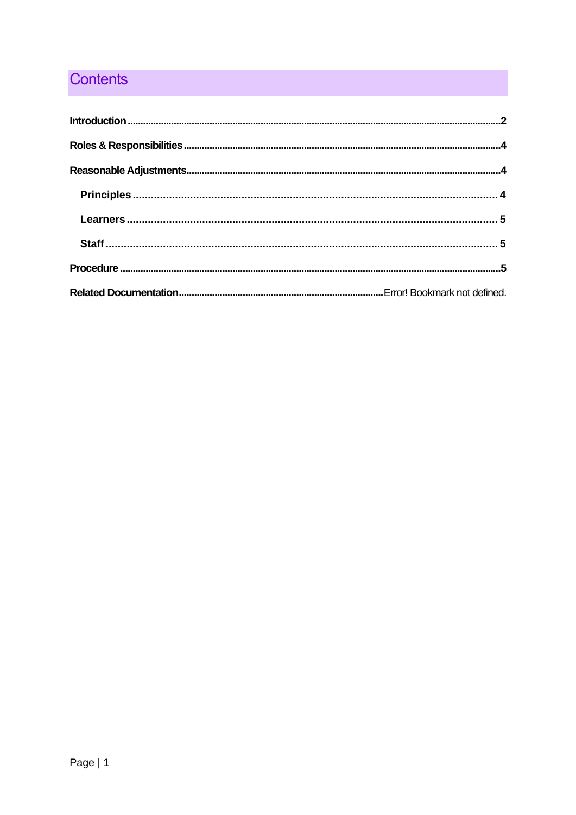## **Contents**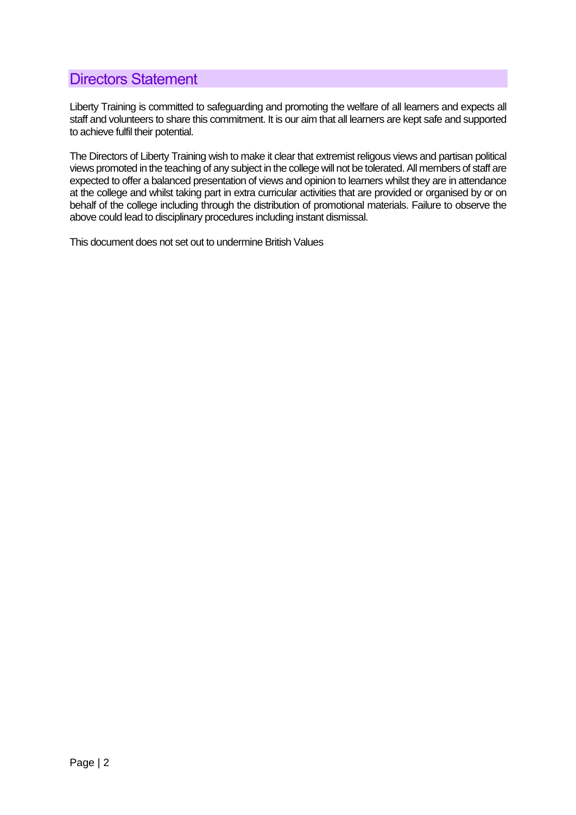## <span id="page-2-0"></span>Directors Statement

Liberty Training is committed to safeguarding and promoting the welfare of all learners and expects all staff and volunteers to share this commitment. It is our aim that all learners are kept safe and supported to achieve fulfil their potential.

The Directors of Liberty Training wish to make it clear that extremist religous views and partisan political views promoted in the teaching of any subject in the college will not be tolerated. All members of staff are expected to offer a balanced presentation of views and opinion to learners whilst they are in attendance at the college and whilst taking part in extra curricular activities that are provided or organised by or on behalf of the college including through the distribution of promotional materials. Failure to observe the above could lead to disciplinary procedures including instant dismissal.

This document does not set out to undermine British Values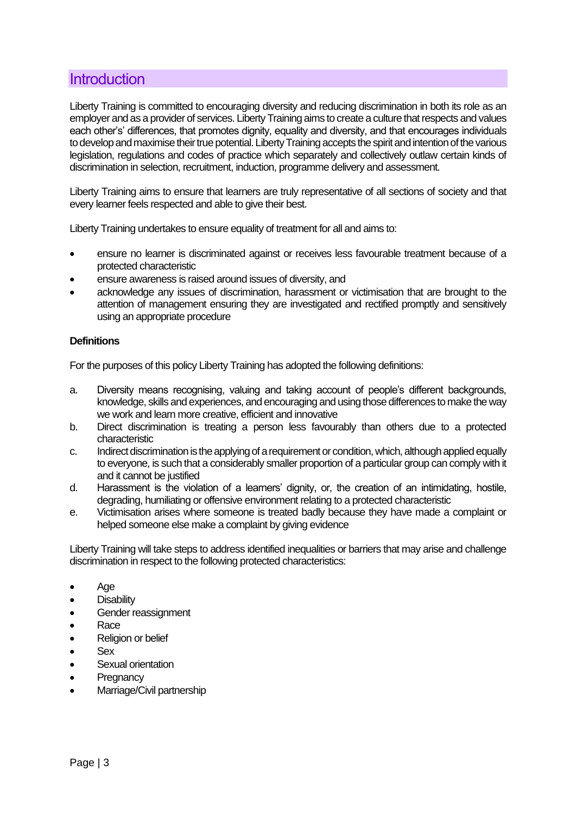## **Introduction**

Liberty Training is committed to encouraging diversity and reducing discrimination in both its role as an employer and as a provider of services. Liberty Training aims to create a culture that respects and values each other's' differences, that promotes dignity, equality and diversity, and that encourages individuals to develop and maximise their true potential. Liberty Training accepts the spirit and intention of the various legislation, regulations and codes of practice which separately and collectively outlaw certain kinds of discrimination in selection, recruitment, induction, programme delivery and assessment.

Liberty Training aims to ensure that learners are truly representative of all sections of society and that every learner feels respected and able to give their best.

Liberty Training undertakes to ensure equality of treatment for all and aims to:

- ensure no learner is discriminated against or receives less favourable treatment because of a protected characteristic
- ensure awareness is raised around issues of diversity, and
- acknowledge any issues of discrimination, harassment or victimisation that are brought to the attention of management ensuring they are investigated and rectified promptly and sensitively using an appropriate procedure

#### **Definitions**

For the purposes of this policy Liberty Training has adopted the following definitions:

- a. Diversity means recognising, valuing and taking account of people's different backgrounds, knowledge, skills and experiences, and encouraging and using those differences to make the way we work and learn more creative, efficient and innovative
- b. Direct discrimination is treating a person less favourably than others due to a protected characteristic
- c. Indirect discrimination is the applying of a requirement or condition, which, although applied equally to everyone, is such that a considerably smaller proportion of a particular group can comply with it and it cannot be justified
- d. Harassment is the violation of a learners' dignity, or, the creation of an intimidating, hostile, degrading, humiliating or offensive environment relating to a protected characteristic
- e. Victimisation arises where someone is treated badly because they have made a complaint or helped someone else make a complaint by giving evidence

Liberty Training will take steps to address identified inequalities or barriers that may arise and challenge discrimination in respect to the following protected characteristics:

- Age
- **Disability**
- Gender reassignment
- Race
- Religion or belief
- Sex
- Sexual orientation
- **Pregnancy**
- Marriage/Civil partnership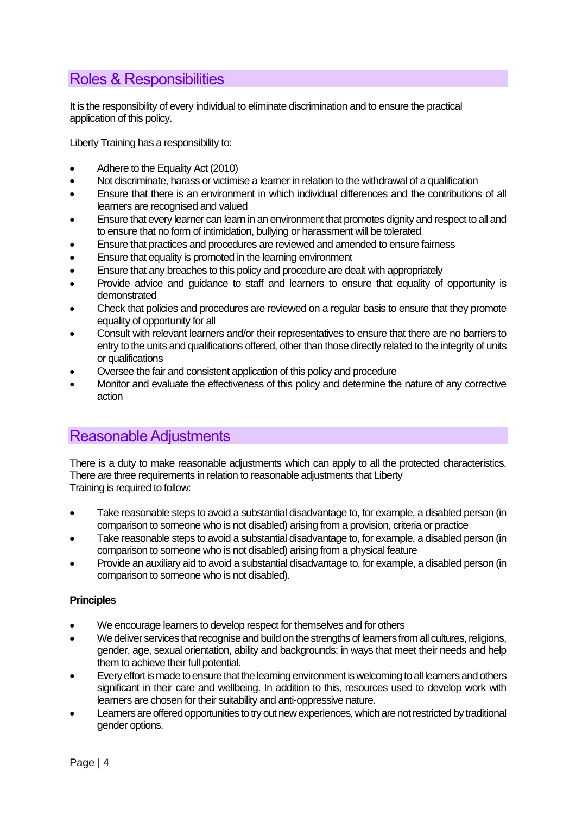## <span id="page-4-0"></span>Roles & Responsibilities

It is the responsibility of every individual to eliminate discrimination and to ensure the practical application of this policy.

Liberty Training has a responsibility to:

- Adhere to the Equality Act (2010)
- Not discriminate, harass or victimise a learner in relation to the withdrawal of a qualification
- Ensure that there is an environment in which individual differences and the contributions of all learners are recognised and valued
- Ensure that every learner can learn in an environment that promotes dignity and respect to all and to ensure that no form of intimidation, bullying or harassment will be tolerated
- Ensure that practices and procedures are reviewed and amended to ensure fairness
- Ensure that equality is promoted in the learning environment
- Ensure that any breaches to this policy and procedure are dealt with appropriately
- Provide advice and guidance to staff and learners to ensure that equality of opportunity is demonstrated
- Check that policies and procedures are reviewed on a regular basis to ensure that they promote equality of opportunity for all
- Consult with relevant learners and/or their representatives to ensure that there are no barriers to entry to the units and qualifications offered, other than those directly related to the integrity of units or qualifications
- Oversee the fair and consistent application of this policy and procedure
- Monitor and evaluate the effectiveness of this policy and determine the nature of any corrective action

## <span id="page-4-1"></span>Reasonable Adjustments

There is a duty to make reasonable adjustments which can apply to all the protected characteristics. There are three requirements in relation to reasonable adjustments that Liberty Training is required to follow:

- Take reasonable steps to avoid a substantial disadvantage to, for example, a disabled person (in comparison to someone who is not disabled) arising from a provision, criteria or practice
- Take reasonable steps to avoid a substantial disadvantage to, for example, a disabled person (in comparison to someone who is not disabled) arising from a physical feature
- Provide an auxiliary aid to avoid a substantial disadvantage to, for example, a disabled person (in comparison to someone who is not disabled).

#### <span id="page-4-2"></span>**Principles**

- We encourage learners to develop respect for themselves and for others
- We deliver services that recognise and build on the strengths of learners from all cultures, religions, gender, age, sexual orientation, ability and backgrounds; in ways that meet their needs and help them to achieve their full potential.
- Every effort is made to ensure that the learning environment is welcoming to all learners and others significant in their care and wellbeing. In addition to this, resources used to develop work with learners are chosen for their suitability and anti-oppressive nature.
- Learners are offered opportunities to try out new experiences, which are not restricted by traditional gender options.